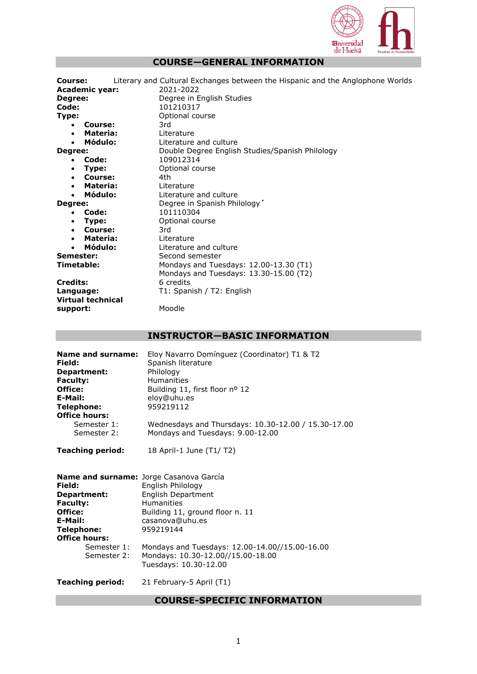

## **COURSE—GENERAL INFORMATION**

| Course:                  | Literary and Cultural Exchanges between the Hispanic and the Anglophone Worlds |
|--------------------------|--------------------------------------------------------------------------------|
| <b>Academic year:</b>    | 2021-2022                                                                      |
| Degree:                  | Degree in English Studies                                                      |
| Code:                    | 101210317                                                                      |
| Type:                    | Optional course                                                                |
| Course:<br>٠             | 3rd                                                                            |
| Materia:<br>$\bullet$    | Literature                                                                     |
| Módulo:                  | Literature and culture                                                         |
| Degree:                  | Double Degree English Studies/Spanish Philology                                |
| Code:<br>$\bullet$       | 109012314                                                                      |
| Type:<br>$\bullet$       | Optional course                                                                |
| Course:<br>$\bullet$     | 4th                                                                            |
| Materia:<br>$\bullet$    | Literature                                                                     |
| Módulo:                  | Literature and culture                                                         |
| Degree:                  | Degree in Spanish Philology'                                                   |
| Code:<br>$\bullet$       | 101110304                                                                      |
| Type:<br>$\bullet$       | Optional course                                                                |
| Course:<br>$\bullet$     | 3rd                                                                            |
| Materia:<br>$\bullet$    | Literature                                                                     |
| Módulo:<br>$\bullet$     | Literature and culture                                                         |
| Semester:                | Second semester                                                                |
| Timetable:               | Mondays and Tuesdays: 12.00-13.30 (T1)                                         |
|                          | Mondays and Tuesdays: 13.30-15.00 (T2)                                         |
| <b>Credits:</b>          | 6 credits                                                                      |
| Language:                | T1: Spanish / T2: English                                                      |
| <b>Virtual technical</b> |                                                                                |
| support:                 | Moodle                                                                         |
|                          |                                                                                |

# **INSTRUCTOR—BASIC INFORMATION**

| Name and surname:<br>Field:<br>Department:<br><b>Faculty:</b><br>Office:<br>E-Mail:<br>Telephone:<br><b>Office hours:</b><br>Semester 1:<br>Semester 2: | Eloy Navarro Domínguez (Coordinator) T1 & T2<br>Spanish literature<br>Philology<br><b>Humanities</b><br>Building 11, first floor nº 12<br>eloy@uhu.es<br>959219112<br>Wednesdays and Thursdays: 10.30-12.00 / 15.30-17.00<br>Mondays and Tuesdays: 9.00-12.00                              |
|---------------------------------------------------------------------------------------------------------------------------------------------------------|--------------------------------------------------------------------------------------------------------------------------------------------------------------------------------------------------------------------------------------------------------------------------------------------|
| <b>Teaching period:</b>                                                                                                                                 | 18 April-1 June (T1/T2)                                                                                                                                                                                                                                                                    |
| Field:<br>Department:<br><b>Faculty:</b><br>Office:<br>E-Mail:<br>Telephone:<br><b>Office hours:</b><br>Semester 1:<br>Semester 2:                      | Name and surname: Jorge Casanova García<br>English Philology<br>English Department<br><b>Humanities</b><br>Building 11, ground floor n. 11<br>casanova@uhu.es<br>959219144<br>Mondays and Tuesdays: 12.00-14.00//15.00-16.00<br>Mondays: 10.30-12.00//15.00-18.00<br>Tuesdays: 10.30-12.00 |
| <b>Teaching period:</b>                                                                                                                                 | 21 February-5 April (T1)                                                                                                                                                                                                                                                                   |

# **COURSE-SPECIFIC INFORMATION**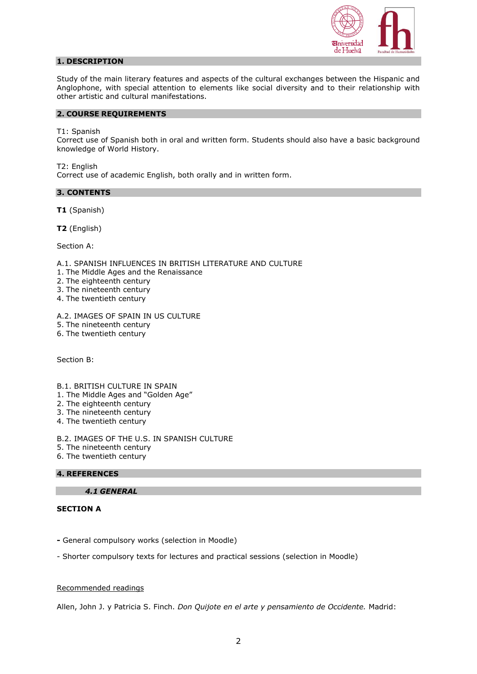

## **1. DESCRIPTION**

Study of the main literary features and aspects of the cultural exchanges between the Hispanic and Anglophone, with special attention to elements like social diversity and to their relationship with other artistic and cultural manifestations.

#### **2. COURSE REQUIREMENTS**

T1: Spanish

Correct use of Spanish both in oral and written form. Students should also have a basic background knowledge of World History.

T2: English Correct use of academic English, both orally and in written form.

### **3. CONTENTS**

**T1** (Spanish)

**T2** (English)

Section A:

A.1. SPANISH INFLUENCES IN BRITISH LITERATURE AND CULTURE

- 1. The Middle Ages and the Renaissance
- 2. The eighteenth century
- 3. The nineteenth century
- 4. The twentieth century

A.2. IMAGES OF SPAIN IN US CULTURE

- 5. The nineteenth century
- 6. The twentieth century

Section B:

- B.1. BRITISH CULTURE IN SPAIN
- 1. The Middle Ages and "Golden Age"
- 2. The eighteenth century
- 3. The nineteenth century
- 4. The twentieth century

B.2. IMAGES OF THE U.S. IN SPANISH CULTURE

- 5. The nineteenth century
- 6. The twentieth century

### **4. REFERENCES**

*4.1 GENERAL*

## **SECTION A**

**-** General compulsory works (selection in Moodle)

- Shorter compulsory texts for lectures and practical sessions (selection in Moodle)

### Recommended readings

Allen, John J. y Patricia S. Finch. *Don Quijote en el arte y pensamiento de Occidente.* Madrid: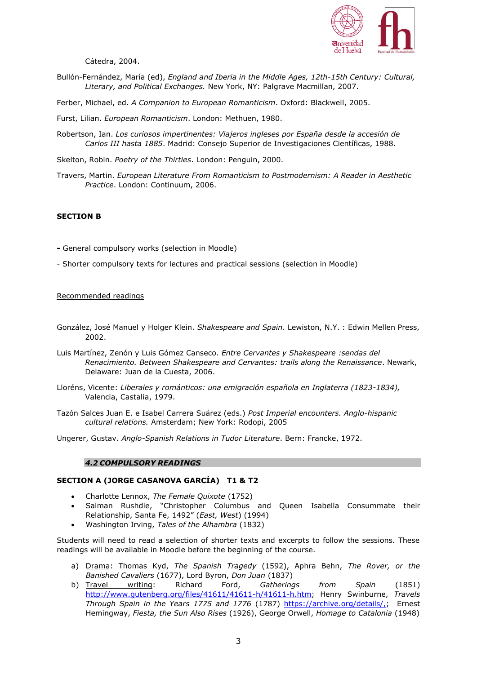

Cátedra, 2004.

- Bullón-Fernández, María (ed), *England and Iberia in the Middle Ages, 12th-15th Century: Cultural, Literary, and Political Exchanges.* New York, NY: Palgrave Macmillan, 2007.
- Ferber, Michael, ed. *A Companion to European Romanticism*. Oxford: Blackwell, 2005.

Furst, Lilian. *European Romanticism*. London: Methuen, 1980.

Robertson, Ian. *Los curiosos impertinentes: Viajeros ingleses por España desde la accesión de Carlos III hasta 1885*. Madrid: Consejo Superior de Investigaciones Científicas, 1988.

Skelton, Robin. *Poetry of the Thirties*. London: Penguin, 2000.

Travers, Martin. *European Literature From Romanticism to Postmodernism: A Reader in Aesthetic Practice*. London: Continuum, 2006.

## **SECTION B**

- **-** General compulsory works (selection in Moodle)
- Shorter compulsory texts for lectures and practical sessions (selection in Moodle)

#### Recommended readings

- González, José Manuel y Holger Klein. *Shakespeare and Spain*. Lewiston, N.Y. : Edwin Mellen Press, 2002.
- Luis Martínez, Zenón y Luis Gómez Canseco. *Entre Cervantes y Shakespeare :sendas del Renacimiento. Between Shakespeare and Cervantes: trails along the Renaissance*. Newark, Delaware: Juan de la Cuesta, 2006.
- Lloréns, Vicente: *Liberales y románticos: una emigración española en Inglaterra (1823-1834),* Valencia, Castalia, 1979.
- Tazón Salces Juan E. e Isabel Carrera Suárez (eds.) *Post Imperial encounters. Anglo-hispanic cultural relations.* Amsterdam; New York: Rodopi, 2005
- Ungerer, Gustav. *Anglo-Spanish Relations in Tudor Literature*. Bern: Francke, 1972.

#### *4.2 COMPULSORY READINGS*

#### **SECTION A (JORGE CASANOVA GARCÍA) T1 & T2**

- Charlotte Lennox, *The Female Quixote* (1752)
- Salman Rushdie, "Christopher Columbus and Queen Isabella Consummate their Relationship, Santa Fe, 1492" (*East, West*) (1994)
- Washington Irving, *Tales of the Alhambra* (1832)

Students will need to read a selection of shorter texts and excerpts to follow the sessions. These readings will be available in Moodle before the beginning of the course.

- a) Drama: Thomas Kyd, *The Spanish Tragedy* (1592), Aphra Behn, *The Rover, or the Banished Cavaliers* (1677), Lord Byron, *Don Juan* (1837)
- b) Travel writing: Richard Ford, *Gatherings from Spain* (1851) [http://www.gutenberg.org/files/41611/41611-h/41611-h.htm;](http://www.gutenberg.org/files/41611/41611-h/41611-h.htm) Henry Swinburne, *Travels Through Spain in the Years 1775 and 1776* (1787) [https://archive.org/details/,;](https://archive.org/details/,) Ernest Hemingway, *Fiesta, the Sun Also Rises* (1926), George Orwell, *Homage to Catalonia* (1948)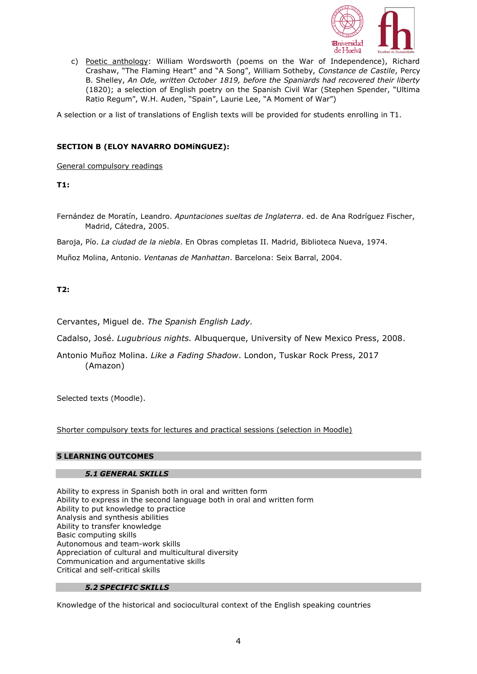

c) Poetic anthology: William Wordsworth (poems on the War of Independence), Richard Crashaw, "The Flaming Heart" and "A Song", William Sotheby, *Constance de Castile*, Percy B. Shelley, *An Ode, written October 1819, before the Spaniards had recovered their liberty* (1820); a selection of English poetry on the Spanish Civil War (Stephen Spender, "Ultima Ratio Regum", W.H. Auden, "Spain", Laurie Lee, "A Moment of War")

A selection or a list of translations of English texts will be provided for students enrolling in T1.

## **SECTION B (ELOY NAVARRO DOMíNGUEZ):**

General compulsory readings

**T1:** 

Fernández de Moratín, Leandro. *Apuntaciones sueltas de Inglaterra*. ed. de Ana Rodríguez Fischer, Madrid, Cátedra, 2005.

Baroja, Pío. *La ciudad de la niebla*. En Obras completas II. Madrid, Biblioteca Nueva, 1974.

Muñoz Molina, Antonio. *Ventanas de Manhattan*. Barcelona: Seix Barral, 2004.

## **T2:**

Cervantes, Miguel de. *The Spanish English Lady.*

Cadalso, José. *Lugubrious nights.* Albuquerque, University of New Mexico Press, 2008.

Antonio Muñoz Molina. *Like a Fading Shadow*. London, Tuskar Rock Press, 2017 (Amazon)

Selected texts (Moodle).

Shorter compulsory texts for lectures and practical sessions (selection in Moodle)

### **5 LEARNING OUTCOMES**

### *5.1 GENERAL SKILLS*

Ability to express in Spanish both in oral and written form Ability to express in the second language both in oral and written form Ability to put knowledge to practice Analysis and synthesis abilities Ability to transfer knowledge Basic computing skills Autonomous and team-work skills Appreciation of cultural and multicultural diversity Communication and argumentative skills Critical and self-critical skills

## *5.2 SPECIFIC SKILLS*

Knowledge of the historical and sociocultural context of the English speaking countries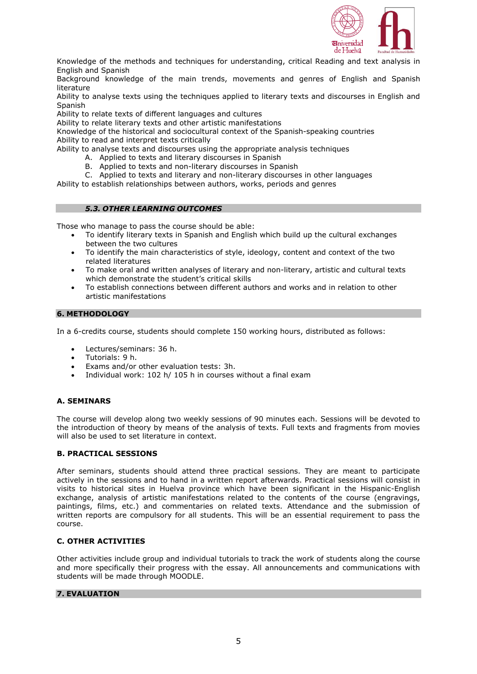

Knowledge of the methods and techniques for understanding, critical Reading and text analysis in English and Spanish

Background knowledge of the main trends, movements and genres of English and Spanish literature

Ability to analyse texts using the techniques applied to literary texts and discourses in English and Spanish

Ability to relate texts of different languages and cultures

Ability to relate literary texts and other artistic manifestations

Knowledge of the historical and sociocultural context of the Spanish-speaking countries Ability to read and interpret texts critically

Ability to analyse texts and discourses using the appropriate analysis techniques

- A. Applied to texts and literary discourses in Spanish
- B. Applied to texts and non-literary discourses in Spanish
- C. Applied to texts and literary and non-literary discourses in other languages

Ability to establish relationships between authors, works, periods and genres

### *5.3. OTHER LEARNING OUTCOMES*

Those who manage to pass the course should be able:

- To identify literary texts in Spanish and English which build up the cultural exchanges between the two cultures
- To identify the main characteristics of style, ideology, content and context of the two related literatures
- To make oral and written analyses of literary and non-literary, artistic and cultural texts which demonstrate the student's critical skills
- To establish connections between different authors and works and in relation to other artistic manifestations

### **6. METHODOLOGY**

In a 6-credits course, students should complete 150 working hours, distributed as follows:

- Lectures/seminars: 36 h.
- Tutorials: 9 h.
- Exams and/or other evaluation tests: 3h.
- Individual work: 102 h/ 105 h in courses without a final exam

## **A. SEMINARS**

The course will develop along two weekly sessions of 90 minutes each. Sessions will be devoted to the introduction of theory by means of the analysis of texts. Full texts and fragments from movies will also be used to set literature in context.

### **B. PRACTICAL SESSIONS**

After seminars, students should attend three practical sessions. They are meant to participate actively in the sessions and to hand in a written report afterwards. Practical sessions will consist in visits to historical sites in Huelva province which have been significant in the Hispanic-English exchange, analysis of artistic manifestations related to the contents of the course (engravings, paintings, films, etc.) and commentaries on related texts. Attendance and the submission of written reports are compulsory for all students. This will be an essential requirement to pass the course.

### **C. OTHER ACTIVITIES**

Other activities include group and individual tutorials to track the work of students along the course and more specifically their progress with the essay. All announcements and communications with students will be made through MOODLE.

### **7. EVALUATION**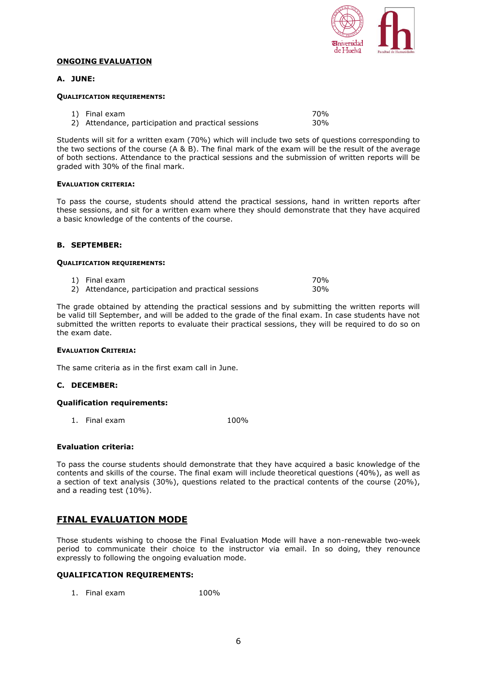

#### **ONGOING EVALUATION**

### **A. JUNE:**

#### **QUALIFICATION REQUIREMENTS:**

| 1) Final exam                                       | 70% |
|-----------------------------------------------------|-----|
| 2) Attendance, participation and practical sessions | 30% |

Students will sit for a written exam (70%) which will include two sets of questions corresponding to the two sections of the course (A & B). The final mark of the exam will be the result of the average of both sections. Attendance to the practical sessions and the submission of written reports will be graded with 30% of the final mark.

#### **EVALUATION CRITERIA:**

To pass the course, students should attend the practical sessions, hand in written reports after these sessions, and sit for a written exam where they should demonstrate that they have acquired a basic knowledge of the contents of the course.

### **B. SEPTEMBER:**

#### **QUALIFICATION REQUIREMENTS:**

1) Final exam and the state of the state of the state of the state of the state of the state of the state of the state of the state of the state of the state of the state of the state of the state of the state of the state 2) Attendance, participation and practical sessions 30%

The grade obtained by attending the practical sessions and by submitting the written reports will be valid till September, and will be added to the grade of the final exam. In case students have not submitted the written reports to evaluate their practical sessions, they will be required to do so on the exam date.

### **EVALUATION CRITERIA:**

The same criteria as in the first exam call in June.

### **C. DECEMBER:**

### **Qualification requirements:**

1. Final exam 100%

### **Evaluation criteria:**

To pass the course students should demonstrate that they have acquired a basic knowledge of the contents and skills of the course. The final exam will include theoretical questions (40%), as well as a section of text analysis (30%), questions related to the practical contents of the course (20%), and a reading test (10%).

# **FINAL EVALUATION MODE**

Those students wishing to choose the Final Evaluation Mode will have a non-renewable two-week period to communicate their choice to the instructor via email. In so doing, they renounce expressly to following the ongoing evaluation mode.

## **QUALIFICATION REQUIREMENTS:**

1. Final exam 100%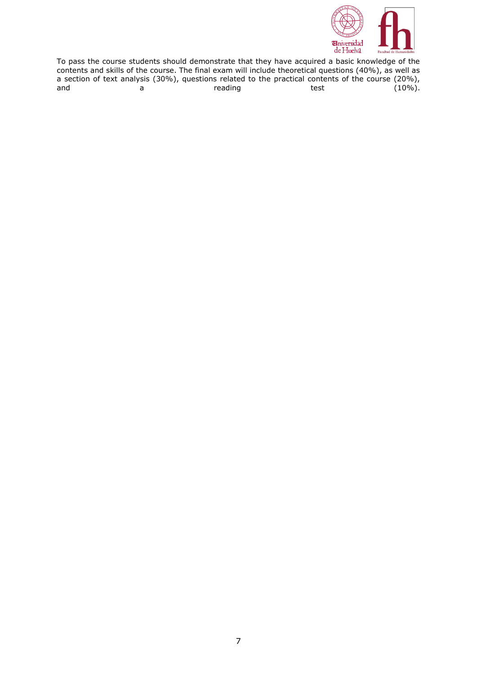

To pass the course students should demonstrate that they have acquired a basic knowledge of the contents and skills of the course. The final exam will include theoretical questions (40%), as well as a section of text analysis (30%), questions related to the practical contents of the course (20%), and a reading test  $(10\%)$ .